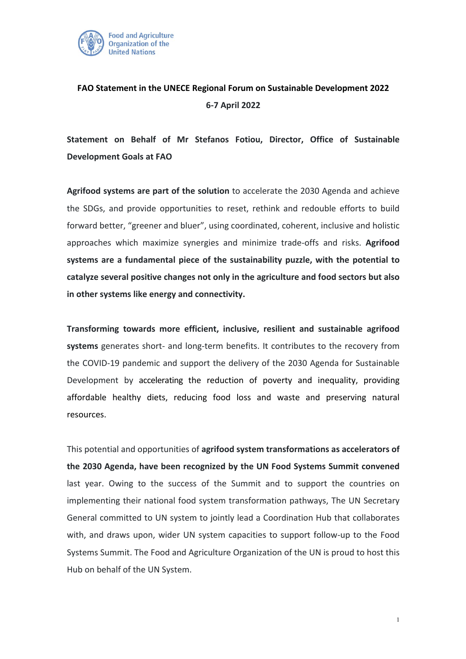

## **FAO Statement in the UNECE Regional Forum on Sustainable Development 2022 6-7 April 2022**

**Statement on Behalf of Mr Stefanos Fotiou, Director, Office of Sustainable Development Goals at FAO**

**Agrifood systems are part of the solution** to accelerate the 2030 Agenda and achieve the SDGs, and provide opportunities to reset, rethink and redouble efforts to build forward better, "greener and bluer", using coordinated, coherent, inclusive and holistic approaches which maximize synergies and minimize trade-offs and risks. **Agrifood systems are a fundamental piece of the sustainability puzzle, with the potential to catalyze several positive changes not only in the agriculture and food sectors but also in other systems like energy and connectivity.**

**Transforming towards more efficient, inclusive, resilient and sustainable agrifood systems** generates short- and long-term benefits. It contributes to the recovery from the COVID-19 pandemic and support the delivery of the 2030 Agenda for Sustainable Development by accelerating the reduction of poverty and inequality, providing affordable healthy diets, reducing food loss and waste and preserving natural resources.

This potential and opportunities of **agrifood system transformations as accelerators of the 2030 Agenda, have been recognized by the UN Food Systems Summit convened** last year. Owing to the success of the Summit and to support the countries on implementing their national food system transformation pathways, The UN Secretary General committed to UN system to jointly lead a Coordination Hub that collaborates with, and draws upon, wider UN system capacities to support follow-up to the Food Systems Summit. The Food and Agriculture Organization of the UN is proud to host this Hub on behalf of the UN System.